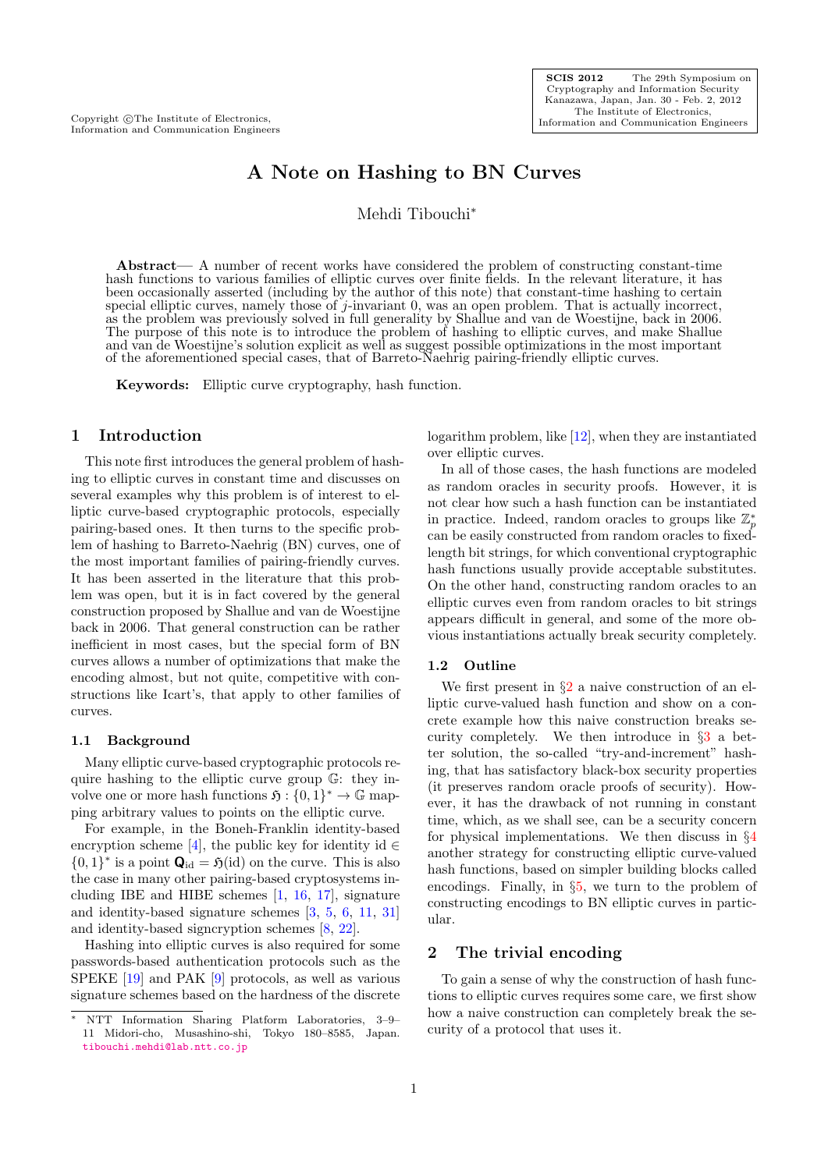# A Note on Hashing to BN Curves

Mehdi Tibouchi<sup>∗</sup>

Abstract— A number of recent works have considered the problem of constructing constant-time hash functions to various families of elliptic curves over finite fields. In the relevant literature, it has been occasionally asserted (including by the author of this note) that constant-time hashing to certain special elliptic curves, namely those of j-invariant 0, was an open problem. That is actually incorrect, as the problem was previously solved in full generality by Shallue and van de Woestijne, back in 2006. The purpose of this note is to introduce the problem of hashing to elliptic curves, and make Shallue and van de Woestijne's solution explicit as well as suggest possible optimizations in the most important of the aforementioned special cases, that of Barreto-Naehrig pairing-friendly elliptic curves.

Keywords: Elliptic curve cryptography, hash function.

# 1 Introduction

This note first introduces the general problem of hashing to elliptic curves in constant time and discusses on several examples why this problem is of interest to elliptic curve-based cryptographic protocols, especially pairing-based ones. It then turns to the specific problem of hashing to Barreto-Naehrig (BN) curves, one of the most important families of pairing-friendly curves. It has been asserted in the literature that this problem was open, but it is in fact covered by the general construction proposed by Shallue and van de Woestijne back in 2006. That general construction can be rather inefficient in most cases, but the special form of BN curves allows a number of optimizations that make the encoding almost, but not quite, competitive with constructions like Icart's, that apply to other families of curves.

# 1.1 Background

Many elliptic curve-based cryptographic protocols require hashing to the elliptic curve group G: they involve one or more hash functions  $\mathfrak{H}: \{0,1\}^* \to \mathbb{G}$  mapping arbitrary values to points on the elliptic curve.

For example, in the Boneh-Franklin identity-based encryption scheme [\[4\]](#page-6-0), the public key for identity id  $\in$  $\{0,1\}^*$  is a point  $\mathbf{Q}_{\text{id}} = \mathfrak{H}(\text{id})$  on the curve. This is also the case in many other pairing-based cryptosystems including IBE and HIBE schemes [\[1,](#page-6-1) [16,](#page-7-0) [17\]](#page-7-1), signature and identity-based signature schemes [\[3,](#page-6-2) [5,](#page-6-3) [6,](#page-6-4) [11,](#page-7-2) [31\]](#page-7-3) and identity-based signcryption schemes [\[8,](#page-6-5) [22\]](#page-7-4).

Hashing into elliptic curves is also required for some passwords-based authentication protocols such as the SPEKE [\[19\]](#page-7-5) and PAK [\[9\]](#page-6-6) protocols, as well as various signature schemes based on the hardness of the discrete logarithm problem, like [\[12\]](#page-7-6), when they are instantiated over elliptic curves.

In all of those cases, the hash functions are modeled as random oracles in security proofs. However, it is not clear how such a hash function can be instantiated in practice. Indeed, random oracles to groups like  $\mathbb{Z}_p^*$ can be easily constructed from random oracles to fixedlength bit strings, for which conventional cryptographic hash functions usually provide acceptable substitutes. On the other hand, constructing random oracles to an elliptic curves even from random oracles to bit strings appears difficult in general, and some of the more obvious instantiations actually break security completely.

### 1.2 Outline

We first present in  $\S2$  $\S2$  a naive construction of an elliptic curve-valued hash function and show on a concrete example how this naive construction breaks security completely. We then introduce in §[3](#page-1-0) a better solution, the so-called "try-and-increment" hashing, that has satisfactory black-box security properties (it preserves random oracle proofs of security). However, it has the drawback of not running in constant time, which, as we shall see, can be a security concern for physical implementations. We then discuss in §[4](#page-3-0) another strategy for constructing elliptic curve-valued hash functions, based on simpler building blocks called encodings. Finally, in §[5,](#page-4-0) we turn to the problem of constructing encodings to BN elliptic curves in particular.

# <span id="page-0-0"></span>2 The trivial encoding

To gain a sense of why the construction of hash functions to elliptic curves requires some care, we first show how a naive construction can completely break the security of a protocol that uses it.

<sup>∗</sup> NTT Information Sharing Platform Laboratories, 3–9– 11 Midori-cho, Musashino-shi, Tokyo 180–8585, Japan. <tibouchi.mehdi@lab.ntt.co.jp>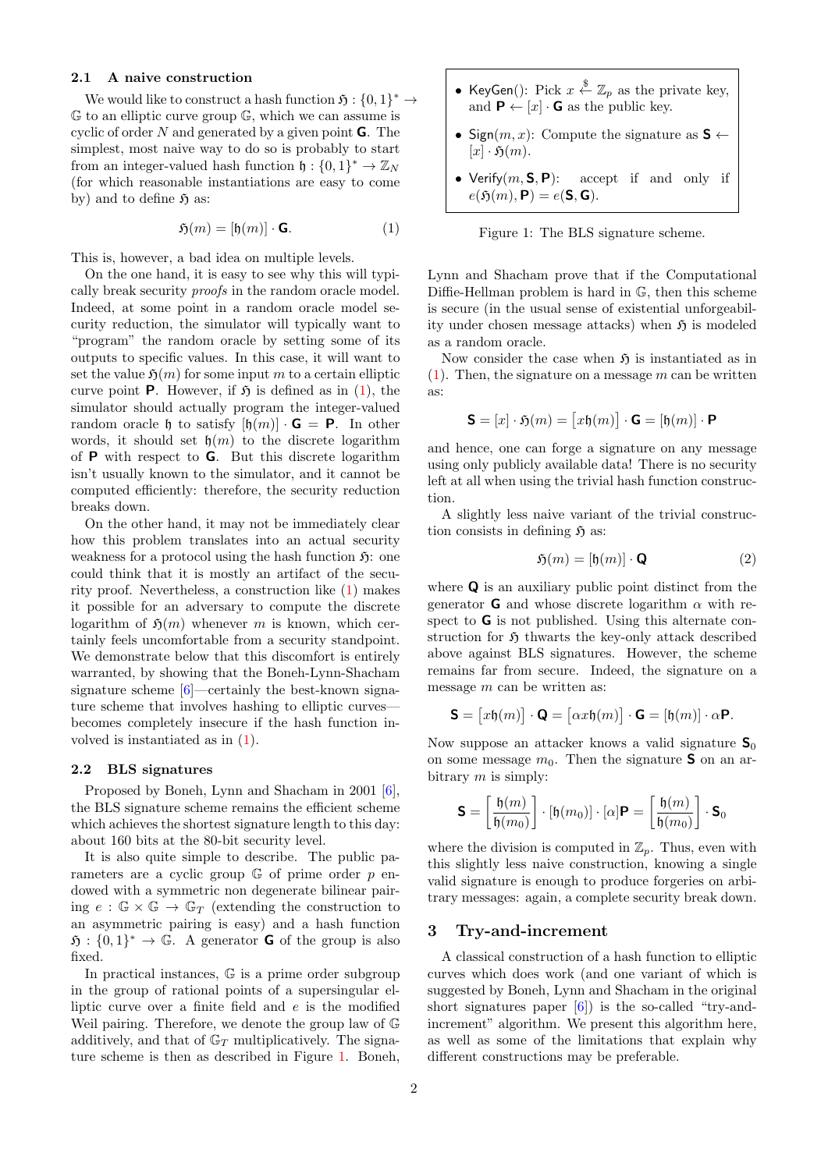# 2.1 A naive construction

We would like to construct a hash function  $\mathfrak{H}: \{0,1\}^* \to$ G to an elliptic curve group G, which we can assume is cyclic of order  $N$  and generated by a given point  $\mathsf{G}$ . The simplest, most naive way to do so is probably to start from an integer-valued hash function  $\mathfrak{h}: \{0,1\}^* \to \mathbb{Z}_N$ (for which reasonable instantiations are easy to come by) and to define  $\mathfrak{H}$  as:

<span id="page-1-1"></span>
$$
\mathfrak{H}(m) = [\mathfrak{h}(m)] \cdot \mathbf{G}.\tag{1}
$$

This is, however, a bad idea on multiple levels.

On the one hand, it is easy to see why this will typically break security proofs in the random oracle model. Indeed, at some point in a random oracle model security reduction, the simulator will typically want to "program" the random oracle by setting some of its outputs to specific values. In this case, it will want to set the value  $\mathfrak{H}(m)$  for some input m to a certain elliptic curve point **P**. However, if  $\mathfrak{H}$  is defined as in [\(1\)](#page-1-1), the simulator should actually program the integer-valued random oracle h to satisfy  $[\mathfrak{h}(m)] \cdot \mathsf{G} = \mathsf{P}$ . In other words, it should set  $h(m)$  to the discrete logarithm of P with respect to G. But this discrete logarithm isn't usually known to the simulator, and it cannot be computed efficiently: therefore, the security reduction breaks down.

On the other hand, it may not be immediately clear how this problem translates into an actual security weakness for a protocol using the hash function  $\mathfrak{H}$ : one could think that it is mostly an artifact of the security proof. Nevertheless, a construction like [\(1\)](#page-1-1) makes it possible for an adversary to compute the discrete logarithm of  $\mathfrak{H}(m)$  whenever m is known, which certainly feels uncomfortable from a security standpoint. We demonstrate below that this discomfort is entirely warranted, by showing that the Boneh-Lynn-Shacham signature scheme [\[6\]](#page-6-4)—certainly the best-known signature scheme that involves hashing to elliptic curves becomes completely insecure if the hash function involved is instantiated as in [\(1\)](#page-1-1).

### 2.2 BLS signatures

Proposed by Boneh, Lynn and Shacham in 2001 [\[6\]](#page-6-4), the BLS signature scheme remains the efficient scheme which achieves the shortest signature length to this day: about 160 bits at the 80-bit security level.

It is also quite simple to describe. The public parameters are a cyclic group  $\mathbb G$  of prime order  $p$  endowed with a symmetric non degenerate bilinear pairing  $e : \mathbb{G} \times \mathbb{G} \to \mathbb{G}_T$  (extending the construction to an asymmetric pairing is easy) and a hash function  $\mathfrak{H}: \{0,1\}^* \to \mathbb{G}$ . A generator **G** of the group is also fixed.

In practical instances, G is a prime order subgroup in the group of rational points of a supersingular elliptic curve over a finite field and  $e$  is the modified Weil pairing. Therefore, we denote the group law of G additively, and that of  $\mathbb{G}_T$  multiplicatively. The signature scheme is then as described in Figure [1.](#page-1-2) Boneh,

- KeyGen(): Pick  $x \stackrel{\$}{\leftarrow} \mathbb{Z}_p$  as the private key, and  $P \leftarrow [x] \cdot G$  as the public key.
- Sign $(m, x)$ : Compute the signature as S  $\leftarrow$  $[x] \cdot \mathfrak{H}(m)$ .
- Verify $(m, S, P)$ : accept if and only if  $e(S(m), P) = e(S, G).$

<span id="page-1-2"></span>

Lynn and Shacham prove that if the Computational Diffie-Hellman problem is hard in G, then this scheme is secure (in the usual sense of existential unforgeability under chosen message attacks) when  $\mathfrak{H}$  is modeled as a random oracle.

Now consider the case when  $\mathfrak{H}$  is instantiated as in  $(1)$ . Then, the signature on a message m can be written as:

$$
\mathbf{S} = [x] \cdot \mathfrak{H}(m) = [x \mathfrak{h}(m)] \cdot \mathbf{G} = [\mathfrak{h}(m)] \cdot \mathbf{P}
$$

and hence, one can forge a signature on any message using only publicly available data! There is no security left at all when using the trivial hash function construction.

A slightly less naive variant of the trivial construction consists in defining  $\mathfrak{H}$  as:

$$
\mathfrak{H}(m) = [\mathfrak{h}(m)] \cdot \mathbf{Q} \tag{2}
$$

where **Q** is an auxiliary public point distinct from the generator **G** and whose discrete logarithm  $\alpha$  with respect to G is not published. Using this alternate construction for  $\mathfrak H$  thwarts the key-only attack described above against BLS signatures. However, the scheme remains far from secure. Indeed, the signature on a message  $m$  can be written as:

$$
\mathbf{S} = [x\mathfrak{h}(m)] \cdot \mathbf{Q} = [\alpha x\mathfrak{h}(m)] \cdot \mathbf{G} = [\mathfrak{h}(m)] \cdot \alpha \mathbf{P}.
$$

Now suppose an attacker knows a valid signature  $S_0$ on some message  $m_0$ . Then the signature **S** on an arbitrary  $m$  is simply:

$$
\mathbf{S} = \left[\frac{\mathfrak{h}(m)}{\mathfrak{h}(m_0)}\right] \cdot [\mathfrak{h}(m_0)] \cdot [\alpha] \mathbf{P} = \left[\frac{\mathfrak{h}(m)}{\mathfrak{h}(m_0)}\right] \cdot \mathbf{S}_0
$$

where the division is computed in  $\mathbb{Z}_p$ . Thus, even with this slightly less naive construction, knowing a single valid signature is enough to produce forgeries on arbitrary messages: again, a complete security break down.

# <span id="page-1-0"></span>3 Try-and-increment

A classical construction of a hash function to elliptic curves which does work (and one variant of which is suggested by Boneh, Lynn and Shacham in the original short signatures paper [\[6\]](#page-6-4)) is the so-called "try-andincrement" algorithm. We present this algorithm here, as well as some of the limitations that explain why different constructions may be preferable.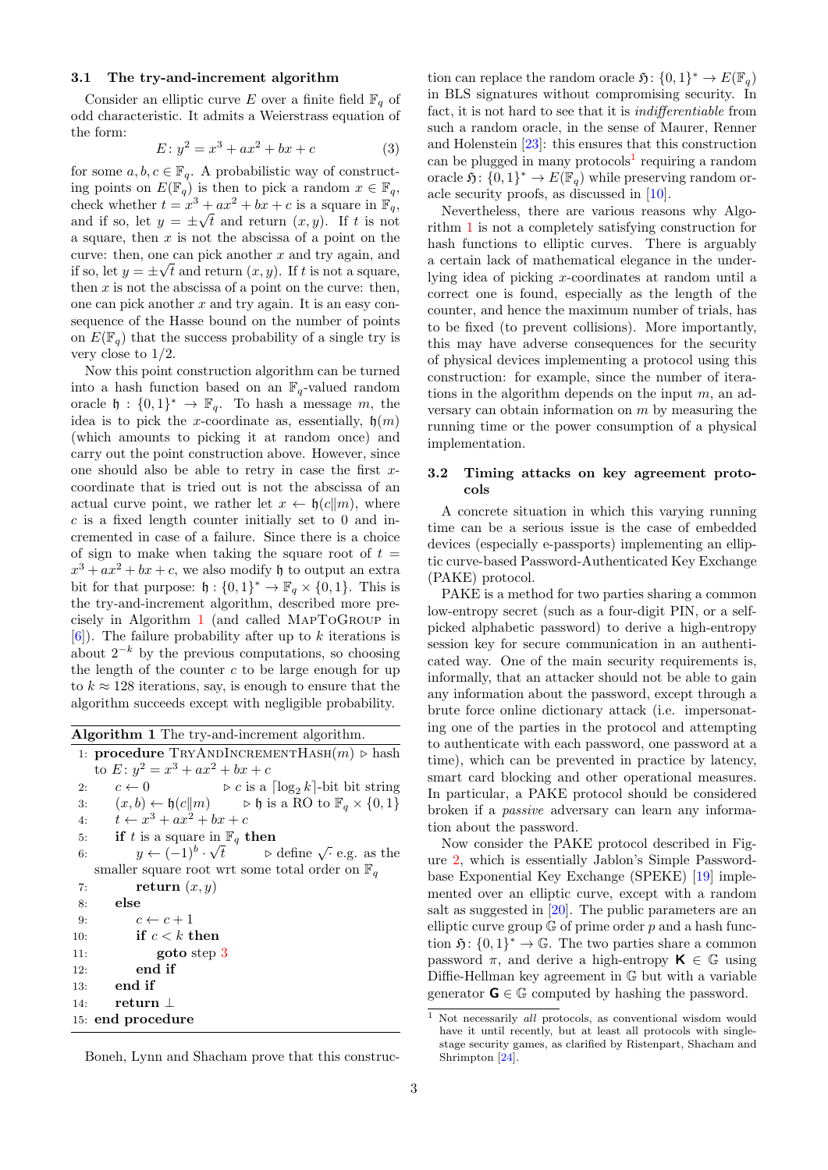#### 3.1 The try-and-increment algorithm

Consider an elliptic curve E over a finite field  $\mathbb{F}_q$  of odd characteristic. It admits a Weierstrass equation of the form:

$$
E: y^2 = x^3 + ax^2 + bx + c \tag{3}
$$

for some  $a, b, c \in \mathbb{F}_q$ . A probabilistic way of constructing points on  $E(\mathbb{F}_q)$  is then to pick a random  $x \in \mathbb{F}_q$ , check whether  $t = x^3 + ax^2 + bx + c$  is a square in  $\mathbb{F}_q$ , and if so, let  $y = \pm \sqrt{t}$  and return  $(x, y)$ . If t is not a square, then  $x$  is not the abscissa of a point on the curve: then, one can pick another  $x$  and try again, and if so, let  $y = \pm \sqrt{t}$  and return  $(x, y)$ . If t is not a square, then  $x$  is not the abscissa of a point on the curve: then, one can pick another  $x$  and try again. It is an easy consequence of the Hasse bound on the number of points on  $E(\mathbb{F}_q)$  that the success probability of a single try is very close to 1/2.

Now this point construction algorithm can be turned into a hash function based on an  $\mathbb{F}_q$ -valued random oracle  $\mathfrak{h}: \{0,1\}^* \to \mathbb{F}_q$ . To hash a message m, the idea is to pick the x-coordinate as, essentially,  $h(m)$ (which amounts to picking it at random once) and carry out the point construction above. However, since one should also be able to retry in case the first  $x$ coordinate that is tried out is not the abscissa of an actual curve point, we rather let  $x \leftarrow \mathfrak{h}(c||m)$ , where  $c$  is a fixed length counter initially set to 0 and incremented in case of a failure. Since there is a choice of sign to make when taking the square root of  $t =$  $x^3 + ax^2 + bx + c$ , we also modify h to output an extra bit for that purpose:  $\mathfrak{h}: \{0,1\}^* \to \mathbb{F}_q \times \{0,1\}$ . This is the try-and-increment algorithm, described more precisely in Algorithm [1](#page-2-0) (and called MapToGroup in  $[6]$ ). The failure probability after up to k iterations is about  $2^{-k}$  by the previous computations, so choosing the length of the counter  $c$  to be large enough for up to  $k \approx 128$  iterations, say, is enough to ensure that the algorithm succeeds except with negligible probability.

<span id="page-2-0"></span>

|  |  |  |  | Algorithm 1 The try-and-increment algorithm. |
|--|--|--|--|----------------------------------------------|
|--|--|--|--|----------------------------------------------|

1: **procedure** TRYANDINCREMENTHASH $(m) >$ hash to  $E: y^2 = x^3 + ax^2 + bx + c$ 2:  $c \leftarrow 0$   $\triangleright c$  is a  $\lceil \log_2 k \rceil$ -bit bit string<br>3:  $(x, b) \leftarrow \mathfrak{h}(c \parallel m)$   $\triangleright \mathfrak{h}$  is a RO to  $\mathbb{F}_q \times \{0, 1\}$ 3:  $(x, b) \leftarrow \mathfrak{h}(c||m)$   $\Rightarrow \mathfrak{h}$  is a RO to  $\mathbb{F}_q \times \{0, 1\}$ 4:  $t \leftarrow x^3 + ax^2 + bx + c$ 5: if t is a square in  $\mathbb{F}_q$  then 6:  $y \leftarrow (-1)^b$ .  $\overline{t}$   $\rightarrow$  define  $\sqrt{ }$  e.g. as the smaller square root wrt some total order on  $\mathbb{F}_q$ 7: return  $(x, y)$ 8: else 9:  $c \leftarrow c + 1$ 10: if  $c < k$  then 11: goto step [3](#page-2-0) 12: end if 13: end if 14: return ⊥ 15: end procedure

Boneh, Lynn and Shacham prove that this construc-

tion can replace the random oracle  $\mathfrak{H} : \{0,1\}^* \to E(\mathbb{F}_q)$ in BLS signatures without compromising security. In fact, it is not hard to see that it is *indifferentiable* from such a random oracle, in the sense of Maurer, Renner and Holenstein [\[23\]](#page-7-7): this ensures that this construction can be plugged in many protocols<sup>[1](#page-2-1)</sup> requiring a random oracle  $\mathfrak{H}: \{0,1\}^* \to E(\mathbb{F}_q)$  while preserving random oracle security proofs, as discussed in [\[10\]](#page-6-7).

Nevertheless, there are various reasons why Algorithm [1](#page-2-0) is not a completely satisfying construction for hash functions to elliptic curves. There is arguably a certain lack of mathematical elegance in the underlying idea of picking x-coordinates at random until a correct one is found, especially as the length of the counter, and hence the maximum number of trials, has to be fixed (to prevent collisions). More importantly, this may have adverse consequences for the security of physical devices implementing a protocol using this construction: for example, since the number of iterations in the algorithm depends on the input  $m$ , an adversary can obtain information on  $m$  by measuring the running time or the power consumption of a physical implementation.

# 3.2 Timing attacks on key agreement protocols

A concrete situation in which this varying running time can be a serious issue is the case of embedded devices (especially e-passports) implementing an elliptic curve-based Password-Authenticated Key Exchange (PAKE) protocol.

PAKE is a method for two parties sharing a common low-entropy secret (such as a four-digit PIN, or a selfpicked alphabetic password) to derive a high-entropy session key for secure communication in an authenticated way. One of the main security requirements is, informally, that an attacker should not be able to gain any information about the password, except through a brute force online dictionary attack (i.e. impersonating one of the parties in the protocol and attempting to authenticate with each password, one password at a time), which can be prevented in practice by latency, smart card blocking and other operational measures. In particular, a PAKE protocol should be considered broken if a passive adversary can learn any information about the password.

Now consider the PAKE protocol described in Figure [2,](#page-3-1) which is essentially Jablon's Simple Passwordbase Exponential Key Exchange (SPEKE) [\[19\]](#page-7-5) implemented over an elliptic curve, except with a random salt as suggested in [\[20\]](#page-7-8). The public parameters are an elliptic curve group  $\mathbb G$  of prime order p and a hash function  $\mathfrak{H}$ :  $\{0,1\}^* \to \mathbb{G}$ . The two parties share a common password  $\pi$ , and derive a high-entropy  $\mathsf{K} \in \mathbb{G}$  using Diffie-Hellman key agreement in G but with a variable generator  $\mathbf{G} \in \mathbb{G}$  computed by hashing the password.

<span id="page-2-1"></span> $\overline{1}$  Not necessarily *all* protocols, as conventional wisdom would have it until recently, but at least all protocols with singlestage security games, as clarified by Ristenpart, Shacham and Shrimpton [\[24\]](#page-7-9).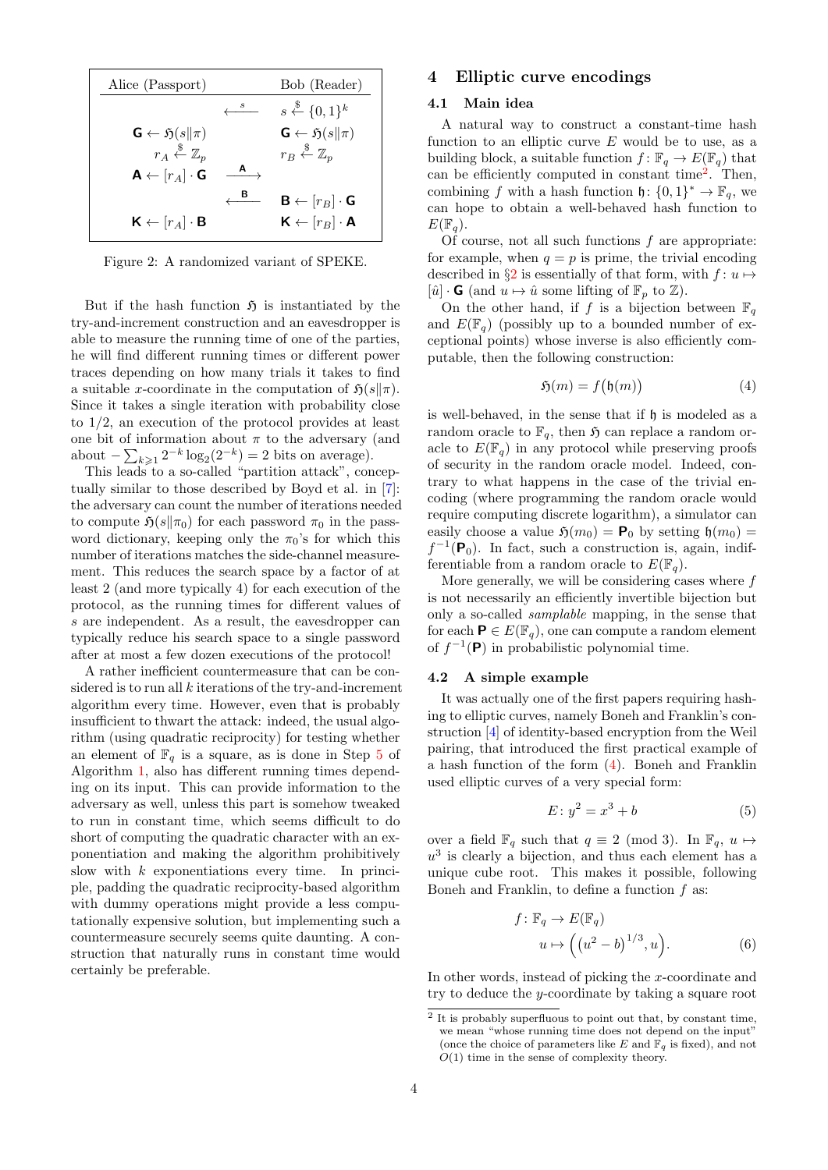

<span id="page-3-1"></span>Figure 2: A randomized variant of SPEKE.

But if the hash function  $\mathfrak{H}$  is instantiated by the try-and-increment construction and an eavesdropper is able to measure the running time of one of the parties, he will find different running times or different power traces depending on how many trials it takes to find a suitable x-coordinate in the computation of  $\mathfrak{H}(s\|\pi)$ . Since it takes a single iteration with probability close to 1/2, an execution of the protocol provides at least one bit of information about  $\pi$  to the adversary (and about  $-\sum_{k\geqslant 1} 2^{-k} \log_2(2^{-k}) = 2$  bits on average).

This leads to a so-called "partition attack", conceptually similar to those described by Boyd et al. in [\[7\]](#page-6-8): the adversary can count the number of iterations needed to compute  $\mathfrak{H}(s||\pi_0)$  for each password  $\pi_0$  in the password dictionary, keeping only the  $\pi_0$ 's for which this number of iterations matches the side-channel measurement. This reduces the search space by a factor of at least 2 (and more typically 4) for each execution of the protocol, as the running times for different values of s are independent. As a result, the eavesdropper can typically reduce his search space to a single password after at most a few dozen executions of the protocol!

A rather inefficient countermeasure that can be considered is to run all  $k$  iterations of the try-and-increment algorithm every time. However, even that is probably insufficient to thwart the attack: indeed, the usual algorithm (using quadratic reciprocity) for testing whether an element of  $\mathbb{F}_q$  is a square, as is done in Step [5](#page-2-0) of Algorithm [1,](#page-2-0) also has different running times depending on its input. This can provide information to the adversary as well, unless this part is somehow tweaked to run in constant time, which seems difficult to do short of computing the quadratic character with an exponentiation and making the algorithm prohibitively slow with  $k$  exponentiations every time. In principle, padding the quadratic reciprocity-based algorithm with dummy operations might provide a less computationally expensive solution, but implementing such a countermeasure securely seems quite daunting. A construction that naturally runs in constant time would certainly be preferable.

# <span id="page-3-0"></span>4 Elliptic curve encodings

### 4.1 Main idea

A natural way to construct a constant-time hash function to an elliptic curve  $E$  would be to use, as a building block, a suitable function  $f: \mathbb{F}_q \to E(\mathbb{F}_q)$  that can be efficiently computed in constant time[2](#page-3-2) . Then, combining f with a hash function  $\mathfrak{h}$ :  $\{0,1\}^* \to \mathbb{F}_q$ , we can hope to obtain a well-behaved hash function to  $E(\mathbb{F}_q)$ .

Of course, not all such functions  $f$  are appropriate: for example, when  $q = p$  is prime, the trivial encoding described in §[2](#page-0-0) is essentially of that form, with  $f: u \mapsto$  $[\hat{u}] \cdot \mathbf{G}$  (and  $u \mapsto \hat{u}$  some lifting of  $\mathbb{F}_p$  to  $\mathbb{Z}$ ).

On the other hand, if f is a bijection between  $\mathbb{F}_q$ and  $E(\mathbb{F}_q)$  (possibly up to a bounded number of exceptional points) whose inverse is also efficiently computable, then the following construction:

<span id="page-3-3"></span>
$$
\mathfrak{H}(m) = f(\mathfrak{h}(m)) \tag{4}
$$

is well-behaved, in the sense that if h is modeled as a random oracle to  $\mathbb{F}_q$ , then  $\mathfrak{H}$  can replace a random oracle to  $E(\mathbb{F}_q)$  in any protocol while preserving proofs of security in the random oracle model. Indeed, contrary to what happens in the case of the trivial encoding (where programming the random oracle would require computing discrete logarithm), a simulator can easily choose a value  $\mathfrak{H}(m_0) = \mathbf{P}_0$  by setting  $\mathfrak{h}(m_0) =$  $f^{-1}(\mathbf{P}_0)$ . In fact, such a construction is, again, indifferentiable from a random oracle to  $E(\mathbb{F}_q)$ .

More generally, we will be considering cases where f is not necessarily an efficiently invertible bijection but only a so-called samplable mapping, in the sense that for each  $\mathbf{P} \in E(\mathbb{F}_q)$ , one can compute a random element of  $f^{-1}(\mathbf{P})$  in probabilistic polynomial time.

# <span id="page-3-6"></span>4.2 A simple example

It was actually one of the first papers requiring hashing to elliptic curves, namely Boneh and Franklin's construction [\[4\]](#page-6-0) of identity-based encryption from the Weil pairing, that introduced the first practical example of a hash function of the form [\(4\)](#page-3-3). Boneh and Franklin used elliptic curves of a very special form:

<span id="page-3-5"></span>
$$
E: y^2 = x^3 + b \tag{5}
$$

over a field  $\mathbb{F}_q$  such that  $q \equiv 2 \pmod{3}$ . In  $\mathbb{F}_q$ ,  $u \mapsto$  $u^3$  is clearly a bijection, and thus each element has a unique cube root. This makes it possible, following Boneh and Franklin, to define a function  $f$  as:

<span id="page-3-4"></span>
$$
f: \mathbb{F}_q \to E(\mathbb{F}_q)
$$
  

$$
u \mapsto ((u^2 - b)^{1/3}, u).
$$
 (6)

In other words, instead of picking the x-coordinate and try to deduce the y-coordinate by taking a square root

<span id="page-3-2"></span><sup>2</sup> It is probably superfluous to point out that, by constant time, we mean "whose running time does not depend on the input" (once the choice of parameters like E and  $\mathbb{F}_q$  is fixed), and not  $O(1)$  time in the sense of complexity theory.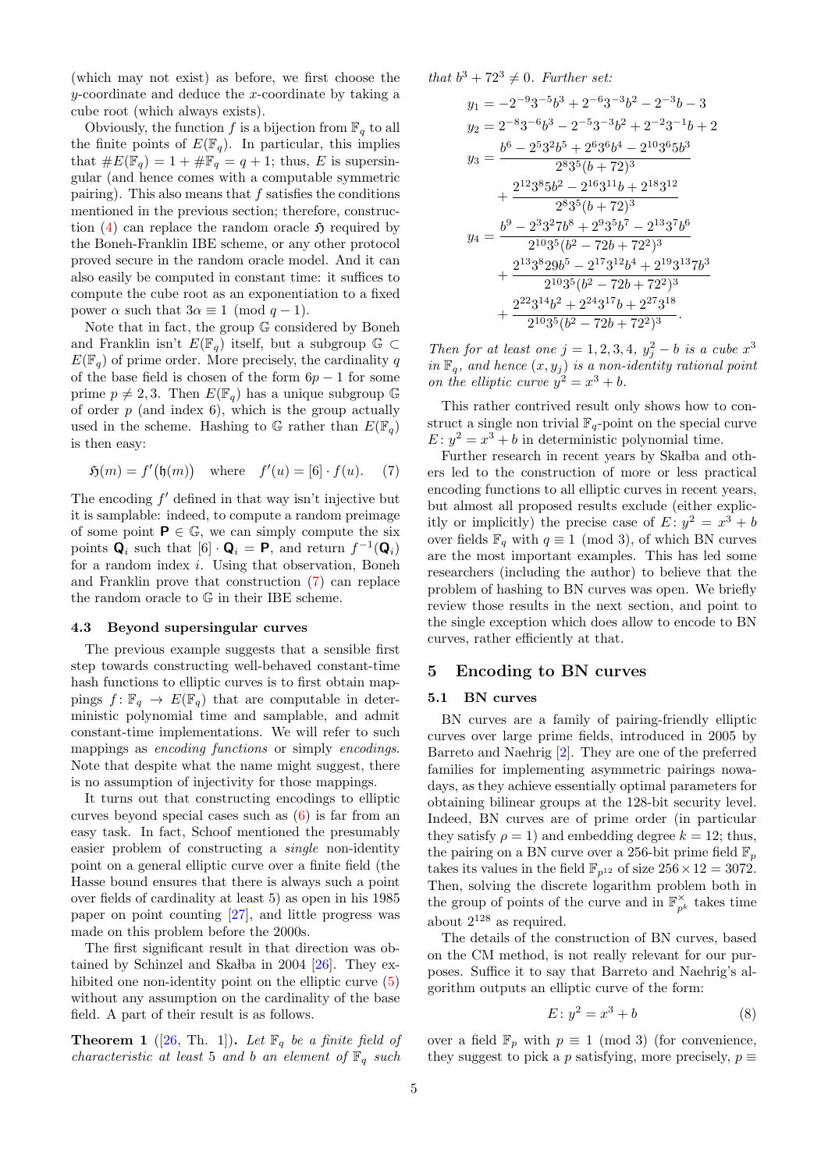(which may not exist) as before, we first choose the y-coordinate and deduce the x-coordinate by taking a cube root (which always exists).

Obviously, the function f is a bijection from  $\mathbb{F}_q$  to all the finite points of  $E(\mathbb{F}_q)$ . In particular, this implies that  $\#E(\mathbb{F}_q) = 1 + \# \mathbb{F}_q = q + 1$ ; thus, E is supersingular (and hence comes with a computable symmetric pairing). This also means that  $f$  satisfies the conditions mentioned in the previous section; therefore, construc-tion [\(4\)](#page-3-3) can replace the random oracle  $\mathfrak{H}$  required by the Boneh-Franklin IBE scheme, or any other protocol proved secure in the random oracle model. And it can also easily be computed in constant time: it suffices to compute the cube root as an exponentiation to a fixed power  $\alpha$  such that  $3\alpha \equiv 1 \pmod{q-1}$ .

Note that in fact, the group G considered by Boneh and Franklin isn't  $E(\mathbb{F}_q)$  itself, but a subgroup  $\mathbb{G} \subset$  $E(\mathbb{F}_q)$  of prime order. More precisely, the cardinality q of the base field is chosen of the form  $6p - 1$  for some prime  $p \neq 2, 3$ . Then  $E(\mathbb{F}_q)$  has a unique subgroup G of order  $p$  (and index 6), which is the group actually used in the scheme. Hashing to  $\mathbb{G}$  rather than  $E(\mathbb{F}_q)$ is then easy:

<span id="page-4-1"></span>
$$
\mathfrak{H}(m) = f'(\mathfrak{h}(m)) \quad \text{where} \quad f'(u) = [6] \cdot f(u). \tag{7}
$$

The encoding  $f'$  defined in that way isn't injective but it is samplable: indeed, to compute a random preimage of some point  $P \in \mathbb{G}$ , we can simply compute the six points  $\mathbf{Q}_i$  such that  $[6] \cdot \mathbf{Q}_i = \mathbf{P}$ , and return  $f^{-1}(\mathbf{Q}_i)$ for a random index  $i$ . Using that observation, Boneh and Franklin prove that construction [\(7\)](#page-4-1) can replace the random oracle to G in their IBE scheme.

### 4.3 Beyond supersingular curves

The previous example suggests that a sensible first step towards constructing well-behaved constant-time hash functions to elliptic curves is to first obtain mappings  $f: \mathbb{F}_q \to E(\mathbb{F}_q)$  that are computable in deterministic polynomial time and samplable, and admit constant-time implementations. We will refer to such mappings as *encoding functions* or simply *encodings*. Note that despite what the name might suggest, there is no assumption of injectivity for those mappings.

It turns out that constructing encodings to elliptic curves beyond special cases such as [\(6\)](#page-3-4) is far from an easy task. In fact, Schoof mentioned the presumably easier problem of constructing a *single* non-identity point on a general elliptic curve over a finite field (the Hasse bound ensures that there is always such a point over fields of cardinality at least 5) as open in his 1985 paper on point counting  $[27]$ , and little progress was made on this problem before the 2000s.

The first significant result in that direction was obtained by Schinzel and Skalba in 2004  $[26]$ . They exhibited one non-identity point on the elliptic curve [\(5\)](#page-3-5) without any assumption on the cardinality of the base field. A part of their result is as follows.

**Theorem 1** ([\[26,](#page-7-11) Th. 1]). Let  $\mathbb{F}_q$  be a finite field of characteristic at least 5 and b an element of  $\mathbb{F}_q$  such

that  $b^3 + 72^3 \neq 0$ . Further set:

$$
y_1 = -2^{-9}3^{-5}b^3 + 2^{-6}3^{-3}b^2 - 2^{-3}b - 3
$$
  
\n
$$
y_2 = 2^{-8}3^{-6}b^3 - 2^{-5}3^{-3}b^2 + 2^{-2}3^{-1}b + 2
$$
  
\n
$$
y_3 = \frac{b^6 - 2^53^2b^5 + 2^63^6b^4 - 2^{10}3^65b^3}{2^83^5(b+72)^3}
$$
  
\n
$$
+ \frac{2^{12}3^85b^2 - 2^{16}3^{11}b + 2^{18}3^{12}}{2^83^5(b+72)^3}
$$
  
\n
$$
y_4 = \frac{b^9 - 2^33^27b^8 + 2^93^5b^7 - 2^{13}3^7b^6}{2^{10}3^5(b^2 - 72b + 72^2)^3}
$$
  
\n
$$
+ \frac{2^{13}3^829b^5 - 2^{17}3^{12}b^4 + 2^{19}3^{13}7b^3}{2^{10}3^5(b^2 - 72b + 72^2)^3}
$$
  
\n
$$
+ \frac{2^{22}3^{14}b^2 + 2^{24}3^{17}b + 2^{27}3^{18}}{2^{10}3^5(b^2 - 72b + 72^2)^3}.
$$

Then for at least one  $j = 1, 2, 3, 4, y_j^2 - b$  is a cube  $x^3$ in  $\mathbb{F}_q$ , and hence  $(x, y_j)$  is a non-identity rational point on the elliptic curve  $y^2 = x^3 + b$ .

This rather contrived result only shows how to construct a single non trivial  $\mathbb{F}_q$ -point on the special curve  $E: y^2 = x^3 + b$  in deterministic polynomial time.

Further research in recent years by Skalba and others led to the construction of more or less practical encoding functions to all elliptic curves in recent years, but almost all proposed results exclude (either explicitly or implicitly) the precise case of  $E: y^2 = x^3 + b$ over fields  $\mathbb{F}_q$  with  $q \equiv 1 \pmod{3}$ , of which BN curves are the most important examples. This has led some researchers (including the author) to believe that the problem of hashing to BN curves was open. We briefly review those results in the next section, and point to the single exception which does allow to encode to BN curves, rather efficiently at that.

# <span id="page-4-0"></span>5 Encoding to BN curves

# 5.1 BN curves

BN curves are a family of pairing-friendly elliptic curves over large prime fields, introduced in 2005 by Barreto and Naehrig [\[2\]](#page-6-9). They are one of the preferred families for implementing asymmetric pairings nowadays, as they achieve essentially optimal parameters for obtaining bilinear groups at the 128-bit security level. Indeed, BN curves are of prime order (in particular they satisfy  $\rho = 1$ ) and embedding degree  $k = 12$ ; thus, the pairing on a BN curve over a 256-bit prime field  $\mathbb{F}_p$ takes its values in the field  $\mathbb{F}_{p^{12}}$  of size  $256 \times 12 = 3072$ . Then, solving the discrete logarithm problem both in the group of points of the curve and in  $\mathbb{F}_{p^k}^{\times}$  takes time about  $2^{128}$  as required.

The details of the construction of BN curves, based on the CM method, is not really relevant for our purposes. Suffice it to say that Barreto and Naehrig's algorithm outputs an elliptic curve of the form:

<span id="page-4-2"></span>
$$
E: y^2 = x^3 + b \tag{8}
$$

over a field  $\mathbb{F}_p$  with  $p \equiv 1 \pmod{3}$  (for convenience, they suggest to pick a  $p$  satisfying, more precisely,  $p \equiv$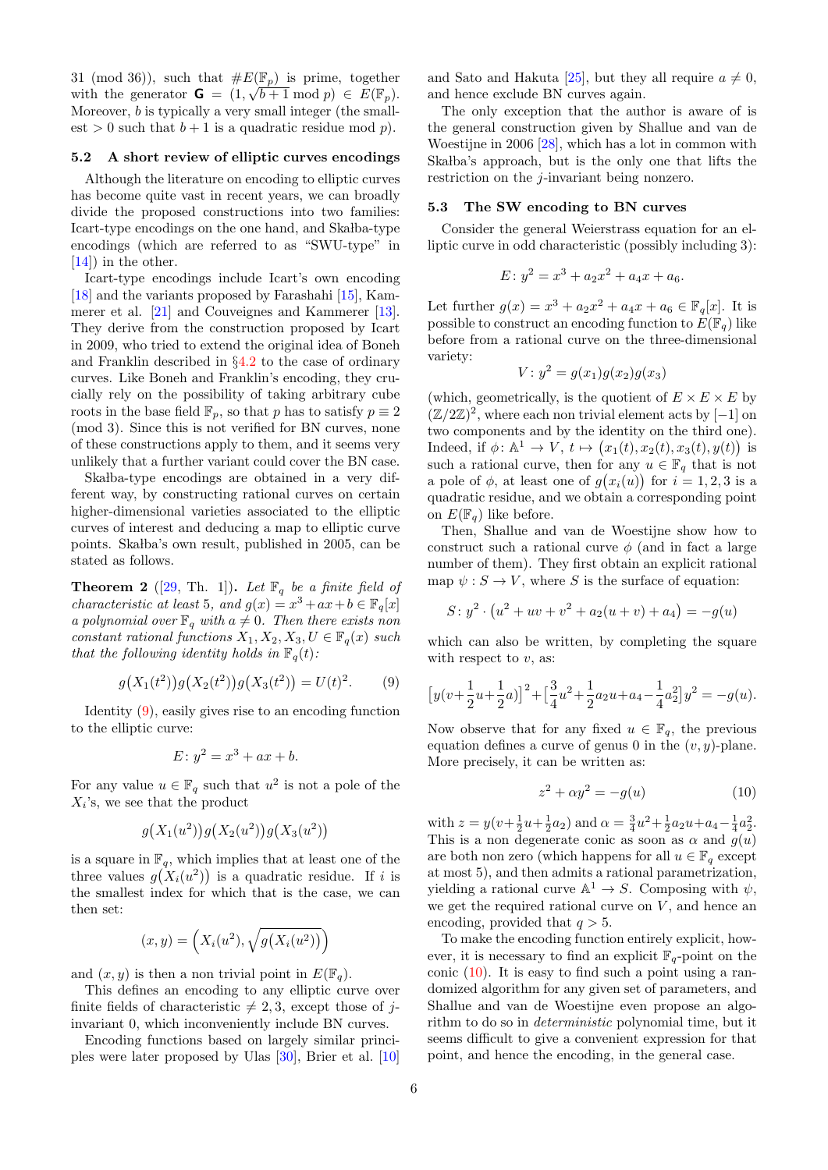31 (mod 36)), such that  $#E(\mathbb{F}_p)$  is prime, together with the generator  $\mathbf{G} = (1, \sqrt{b+1} \bmod p) \in E(\mathbb{F}_p)$ . Moreover, b is typically a very small integer (the smallest  $> 0$  such that  $b + 1$  is a quadratic residue mod p).

### 5.2 A short review of elliptic curves encodings

Although the literature on encoding to elliptic curves has become quite vast in recent years, we can broadly divide the proposed constructions into two families: Icart-type encodings on the one hand, and Skalba-type encodings (which are referred to as "SWU-type" in [\[14\]](#page-7-12)) in the other.

Icart-type encodings include Icart's own encoding [\[18\]](#page-7-13) and the variants proposed by Farashahi [\[15\]](#page-7-14), Kammerer et al. [\[21\]](#page-7-15) and Couveignes and Kammerer [\[13\]](#page-7-16). They derive from the construction proposed by Icart in 2009, who tried to extend the original idea of Boneh and Franklin described in §[4.2](#page-3-6) to the case of ordinary curves. Like Boneh and Franklin's encoding, they crucially rely on the possibility of taking arbitrary cube roots in the base field  $\mathbb{F}_p$ , so that p has to satisfy  $p \equiv 2$ (mod 3). Since this is not verified for BN curves, none of these constructions apply to them, and it seems very unlikely that a further variant could cover the BN case.

Skalba-type encodings are obtained in a very different way, by constructing rational curves on certain higher-dimensional varieties associated to the elliptic curves of interest and deducing a map to elliptic curve points. Skalba's own result, published in 2005, can be stated as follows.

**Theorem 2** ([\[29,](#page-7-17) Th. 1]). Let  $\mathbb{F}_q$  be a finite field of characteristic at least 5, and  $g(x) = x^3 + ax + b \in \mathbb{F}_q[x]$ a polynomial over  $\mathbb{F}_q$  with  $a \neq 0$ . Then there exists non constant rational functions  $X_1, X_2, X_3, U \in \mathbb{F}_q(x)$  such that the following identity holds in  $\mathbb{F}_q(t)$ :

<span id="page-5-0"></span>
$$
g(X_1(t^2))g(X_2(t^2))g(X_3(t^2)) = U(t)^2.
$$
 (9)

Identity [\(9\)](#page-5-0), easily gives rise to an encoding function to the elliptic curve:

$$
E: y^2 = x^3 + ax + b.
$$

For any value  $u \in \mathbb{F}_q$  such that  $u^2$  is not a pole of the  $X_i$ 's, we see that the product

$$
g(X_1(u^2))g(X_2(u^2))g(X_3(u^2))
$$

is a square in  $\mathbb{F}_q$ , which implies that at least one of the three values  $g(X_i(u^2))$  is a quadratic residue. If i is the smallest index for which that is the case, we can then set:

$$
(x,y) = \left(X_i(u^2), \sqrt{g(X_i(u^2))}\right)
$$

and  $(x, y)$  is then a non trivial point in  $E(\mathbb{F}_q)$ .

This defines an encoding to any elliptic curve over finite fields of characteristic  $\neq 2, 3$ , except those of jinvariant 0, which inconveniently include BN curves.

Encoding functions based on largely similar principles were later proposed by Ulas [\[30\]](#page-7-18), Brier et al. [\[10\]](#page-6-7) and Sato and Hakuta [\[25\]](#page-7-19), but they all require  $a \neq 0$ , and hence exclude BN curves again.

The only exception that the author is aware of is the general construction given by Shallue and van de Woestijne in 2006 [\[28\]](#page-7-20), which has a lot in common with Skalba's approach, but is the only one that lifts the restriction on the j-invariant being nonzero.

### 5.3 The SW encoding to BN curves

Consider the general Weierstrass equation for an elliptic curve in odd characteristic (possibly including 3):

$$
E: y^2 = x^3 + a_2 x^2 + a_4 x + a_6.
$$

Let further  $g(x) = x^3 + a_2x^2 + a_4x + a_6 \in \mathbb{F}_q[x]$ . It is possible to construct an encoding function to  $E(\mathbb{F}_q)$  like before from a rational curve on the three-dimensional variety:

$$
V: y^2 = g(x_1)g(x_2)g(x_3)
$$

(which, geometrically, is the quotient of  $E \times E \times E$  by  $(\mathbb{Z}/2\mathbb{Z})^2$ , where each non trivial element acts by [-1] on two components and by the identity on the third one). Indeed, if  $\phi: \mathbb{A}^1 \to V$ ,  $t \mapsto (x_1(t), x_2(t), x_3(t), y(t))$  is such a rational curve, then for any  $u \in \mathbb{F}_q$  that is not a pole of  $\phi$ , at least one of  $g(x_i(u))$  for  $i = 1, 2, 3$  is a quadratic residue, and we obtain a corresponding point on  $E(\mathbb{F}_q)$  like before.

Then, Shallue and van de Woestijne show how to construct such a rational curve  $\phi$  (and in fact a large number of them). They first obtain an explicit rational map  $\psi : S \to V$ , where S is the surface of equation:

$$
S: y^{2} \cdot (u^{2} + uv + v^{2} + a_{2}(u + v) + a_{4}) = -g(u)
$$

which can also be written, by completing the square with respect to  $v$ , as:

$$
\bigl[y(v+\frac{1}{2}u+\frac{1}{2}a)\bigr]^2+\bigl[\frac{3}{4}u^2+\frac{1}{2}a_2u+a_4-\frac{1}{4}a_2^2\bigr]y^2=-g(u).
$$

Now observe that for any fixed  $u \in \mathbb{F}_q$ , the previous equation defines a curve of genus 0 in the  $(v, y)$ -plane. More precisely, it can be written as:

<span id="page-5-1"></span>
$$
z^2 + \alpha y^2 = -g(u) \tag{10}
$$

with  $z = y(v + \frac{1}{2}u + \frac{1}{2}a_2)$  and  $\alpha = \frac{3}{4}u^2 + \frac{1}{2}a_2u + a_4 - \frac{1}{4}a_2^2$ . This is a non degenerate conic as soon as  $\alpha$  and  $g(u)$ are both non zero (which happens for all  $u \in \mathbb{F}_q$  except at most 5), and then admits a rational parametrization, yielding a rational curve  $\mathbb{A}^1 \to S$ . Composing with  $\psi$ , we get the required rational curve on  $V$ , and hence an encoding, provided that  $q > 5$ .

To make the encoding function entirely explicit, however, it is necessary to find an explicit  $\mathbb{F}_q$ -point on the conic [\(10\)](#page-5-1). It is easy to find such a point using a randomized algorithm for any given set of parameters, and Shallue and van de Woestijne even propose an algorithm to do so in deterministic polynomial time, but it seems difficult to give a convenient expression for that point, and hence the encoding, in the general case.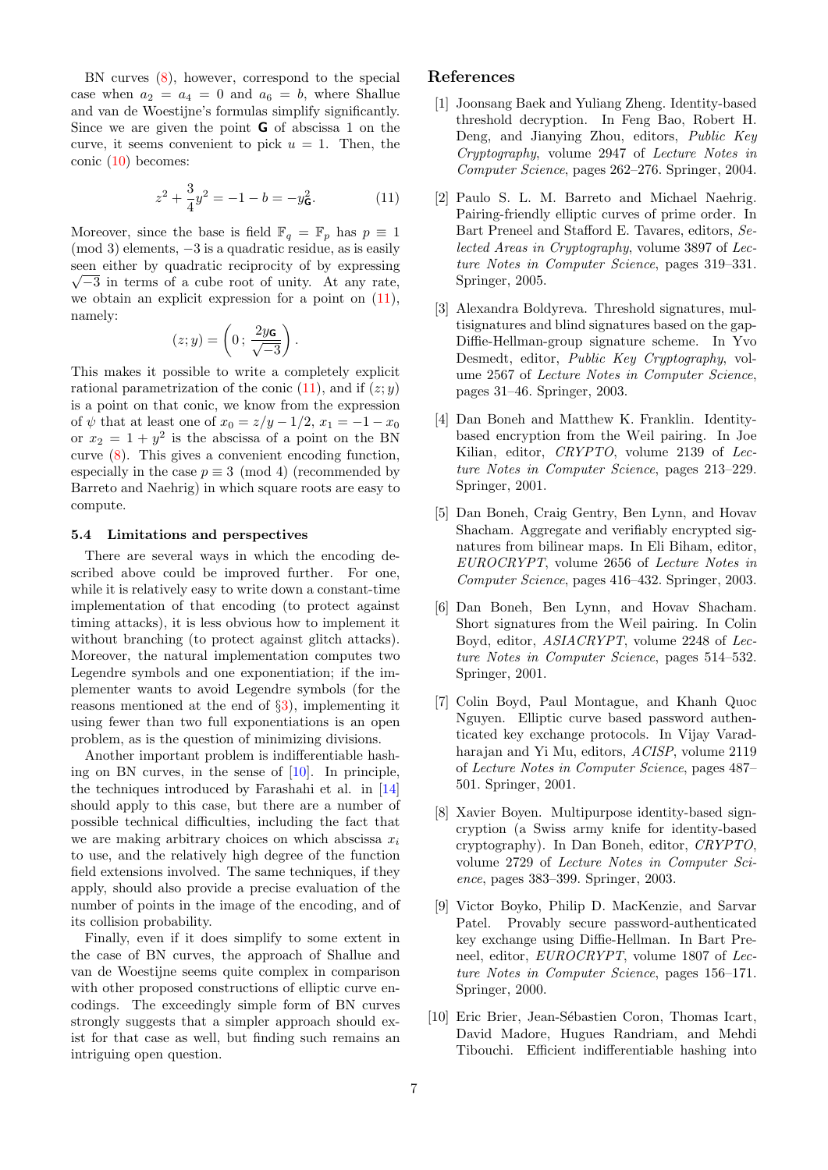BN curves [\(8\)](#page-4-2), however, correspond to the special case when  $a_2 = a_4 = 0$  and  $a_6 = b$ , where Shallue and van de Woestijne's formulas simplify significantly. Since we are given the point  $\bf{G}$  of abscissa 1 on the curve, it seems convenient to pick  $u = 1$ . Then, the conic [\(10\)](#page-5-1) becomes:

<span id="page-6-10"></span>
$$
z^{2} + \frac{3}{4}y^{2} = -1 - b = -y_{\mathbf{G}}^{2}.
$$
 (11)

Moreover, since the base is field  $\mathbb{F}_q = \mathbb{F}_p$  has  $p \equiv 1$ (mod 3) elements, −3 is a quadratic residue, as is easily seen either by quadratic reciprocity of by expressing  $\sqrt{-3}$  in terms of a cube root of unity. At any rate, we obtain an explicit expression for a point on [\(11\)](#page-6-10), namely:

$$
(z; y) = \left(0; \frac{2y\mathbf{G}}{\sqrt{-3}}\right).
$$

This makes it possible to write a completely explicit rational parametrization of the conic  $(11)$ , and if  $(z; y)$ is a point on that conic, we know from the expression of  $\psi$  that at least one of  $x_0 = z/y - 1/2$ ,  $x_1 = -1 - x_0$ or  $x_2 = 1 + y^2$  is the abscissa of a point on the BN curve [\(8\)](#page-4-2). This gives a convenient encoding function, especially in the case  $p \equiv 3 \pmod{4}$  (recommended by Barreto and Naehrig) in which square roots are easy to compute.

#### 5.4 Limitations and perspectives

There are several ways in which the encoding described above could be improved further. For one, while it is relatively easy to write down a constant-time implementation of that encoding (to protect against timing attacks), it is less obvious how to implement it without branching (to protect against glitch attacks). Moreover, the natural implementation computes two Legendre symbols and one exponentiation; if the implementer wants to avoid Legendre symbols (for the reasons mentioned at the end of §[3\)](#page-1-0), implementing it using fewer than two full exponentiations is an open problem, as is the question of minimizing divisions.

Another important problem is indifferentiable hashing on BN curves, in the sense of [\[10\]](#page-6-7). In principle, the techniques introduced by Farashahi et al. in [\[14\]](#page-7-12) should apply to this case, but there are a number of possible technical difficulties, including the fact that we are making arbitrary choices on which abscissa  $x_i$ to use, and the relatively high degree of the function field extensions involved. The same techniques, if they apply, should also provide a precise evaluation of the number of points in the image of the encoding, and of its collision probability.

Finally, even if it does simplify to some extent in the case of BN curves, the approach of Shallue and van de Woestijne seems quite complex in comparison with other proposed constructions of elliptic curve encodings. The exceedingly simple form of BN curves strongly suggests that a simpler approach should exist for that case as well, but finding such remains an intriguing open question.

### <span id="page-6-1"></span>References

- [1] Joonsang Baek and Yuliang Zheng. Identity-based threshold decryption. In Feng Bao, Robert H. Deng, and Jianying Zhou, editors, Public Key Cryptography, volume 2947 of Lecture Notes in Computer Science, pages 262–276. Springer, 2004.
- <span id="page-6-9"></span>[2] Paulo S. L. M. Barreto and Michael Naehrig. Pairing-friendly elliptic curves of prime order. In Bart Preneel and Stafford E. Tavares, editors, Selected Areas in Cryptography, volume 3897 of Lecture Notes in Computer Science, pages 319–331. Springer, 2005.
- <span id="page-6-2"></span>[3] Alexandra Boldyreva. Threshold signatures, multisignatures and blind signatures based on the gap-Diffie-Hellman-group signature scheme. In Yvo Desmedt, editor, Public Key Cryptography, volume 2567 of Lecture Notes in Computer Science, pages 31–46. Springer, 2003.
- <span id="page-6-0"></span>[4] Dan Boneh and Matthew K. Franklin. Identitybased encryption from the Weil pairing. In Joe Kilian, editor, CRYPTO, volume 2139 of Lecture Notes in Computer Science, pages 213–229. Springer, 2001.
- <span id="page-6-3"></span>[5] Dan Boneh, Craig Gentry, Ben Lynn, and Hovav Shacham. Aggregate and verifiably encrypted signatures from bilinear maps. In Eli Biham, editor, EUROCRYPT, volume 2656 of Lecture Notes in Computer Science, pages 416–432. Springer, 2003.
- <span id="page-6-4"></span>[6] Dan Boneh, Ben Lynn, and Hovav Shacham. Short signatures from the Weil pairing. In Colin Boyd, editor, ASIACRYPT, volume 2248 of Lecture Notes in Computer Science, pages 514–532. Springer, 2001.
- <span id="page-6-8"></span>[7] Colin Boyd, Paul Montague, and Khanh Quoc Nguyen. Elliptic curve based password authenticated key exchange protocols. In Vijay Varadharajan and Yi Mu, editors, ACISP, volume 2119 of Lecture Notes in Computer Science, pages 487– 501. Springer, 2001.
- <span id="page-6-5"></span>[8] Xavier Boyen. Multipurpose identity-based signcryption (a Swiss army knife for identity-based cryptography). In Dan Boneh, editor, CRYPTO, volume 2729 of Lecture Notes in Computer Science, pages 383–399. Springer, 2003.
- <span id="page-6-6"></span>[9] Victor Boyko, Philip D. MacKenzie, and Sarvar Patel. Provably secure password-authenticated key exchange using Diffie-Hellman. In Bart Preneel, editor, EUROCRYPT, volume 1807 of Lecture Notes in Computer Science, pages 156–171. Springer, 2000.
- <span id="page-6-7"></span>[10] Eric Brier, Jean-Sébastien Coron, Thomas Icart, David Madore, Hugues Randriam, and Mehdi Tibouchi. Efficient indifferentiable hashing into